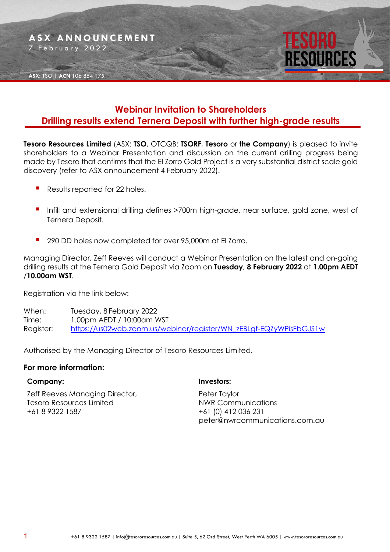

## **Webinar Invitation to Shareholders Drilling results extend Ternera Deposit with further high-grade results**

**Tesoro Resources Limited** (ASX: **TSO**, OTCQB: **TSORF**, **Tesoro** or **the Company**) is pleased to invite shareholders to a Webinar Presentation and discussion on the current drilling progress being made by Tesoro that confirms that the El Zorro Gold Project is a very substantial district scale gold discovery (refer to ASX announcement 4 February 2022).

- Results reported for 22 holes.
- Infill and extensional drilling defines >700m high-grade, near surface, gold zone, west of Ternera Deposit.
- 290 DD holes now completed for over 95,000m at El Zorro.

Managing Director, Zeff Reeves will conduct a Webinar Presentation on the latest and on-going drilling results at the Ternera Gold Deposit via Zoom on **Tuesday, 8 February 2022** at **1.00pm AEDT** /**10.00am WST**.

Registration via the link below:

When: Tuesday, 8 February 2022 Time: 1.00pm AEDT / 10:00am WST Register: [https://us02web.zoom.us/webinar/register/WN\\_zEBLgf-EQZyWPisFbGJS1w](https://us02web.zoom.us/webinar/register/WN_zEBLgf-EQZyWPisFbGJS1w)

Authorised by the Managing Director of Tesoro Resources Limited.

#### **For more information:**

#### **Company:**

Zeff Reeves Managing Director, Tesoro Resources Limited +61 8 9322 1587

### **Investors:**

Peter Taylor NWR Communications +61 (0) 412 036 231 peter@nwrcommunications.com.au